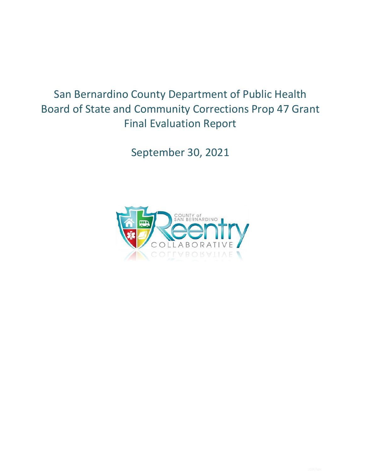# San Bernardino County Department of Public Health Board of State and Community Corrections Prop 47 Grant Final Evaluation Report

September 30, 2021

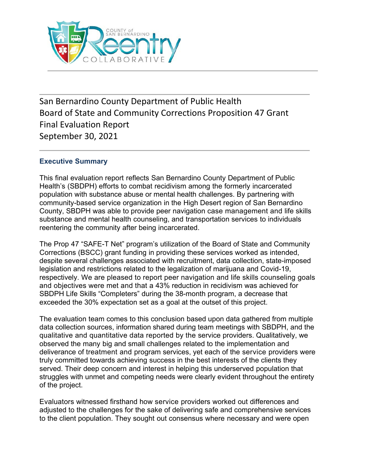

San Bernardino County Department of Public Health Board of State and Community Corrections Proposition 47 Grant Final Evaluation Report September 30, 2021

## **Executive Summary**

This final evaluation report reflects San Bernardino County Department of Public Health's (SBDPH) efforts to combat recidivism among the formerly incarcerated population with substance abuse or mental health challenges. By partnering with community-based service organization in the High Desert region of San Bernardino County, SBDPH was able to provide peer navigation case management and life skills substance and mental health counseling, and transportation services to individuals reentering the community after being incarcerated.

The Prop 47 "SAFE-T Net" program's utilization of the Board of State and Community Corrections (BSCC) grant funding in providing these services worked as intended, despite several challenges associated with recruitment, data collection, state-imposed legislation and restrictions related to the legalization of marijuana and Covid-19, respectively. We are pleased to report peer navigation and life skills counseling goals and objectives were met and that a 43% reduction in recidivism was achieved for SBDPH Life Skills "Completers" during the 38-month program, a decrease that exceeded the 30% expectation set as a goal at the outset of this project.

The evaluation team comes to this conclusion based upon data gathered from multiple data collection sources, information shared during team meetings with SBDPH, and the qualitative and quantitative data reported by the service providers. Qualitatively, we observed the many big and small challenges related to the implementation and deliverance of treatment and program services, yet each of the service providers were truly committed towards achieving success in the best interests of the clients they served. Their deep concern and interest in helping this underserved population that struggles with unmet and competing needs were clearly evident throughout the entirety of the project.

Evaluators witnessed firsthand how service providers worked out differences and adjusted to the challenges for the sake of delivering safe and comprehensive services to the client population. They sought out consensus where necessary and were open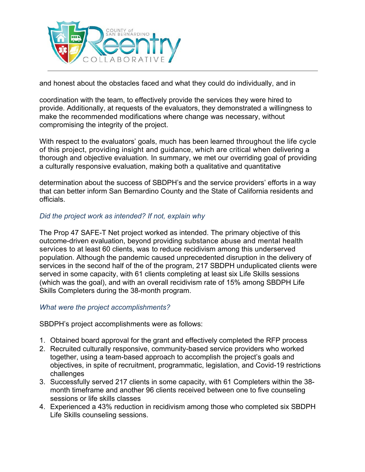

and honest about the obstacles faced and what they could do individually, and in

coordination with the team, to effectively provide the services they were hired to provide. Additionally, at requests of the evaluators, they demonstrated a willingness to make the recommended modifications where change was necessary, without compromising the integrity of the project.

With respect to the evaluators' goals, much has been learned throughout the life cycle of this project, providing insight and guidance, which are critical when delivering a thorough and objective evaluation. In summary, we met our overriding goal of providing a culturally responsive evaluation, making both a qualitative and quantitative

determination about the success of SBDPH's and the service providers' efforts in a way that can better inform San Bernardino County and the State of California residents and officials.

## *Did the project work as intended? If not, explain why*

The Prop 47 SAFE-T Net project worked as intended. The primary objective of this outcome-driven evaluation, beyond providing substance abuse and mental health services to at least 60 clients, was to reduce recidivism among this underserved population. Although the pandemic caused unprecedented disruption in the delivery of services in the second half of the of the program, 217 SBDPH unduplicated clients were served in some capacity, with 61 clients completing at least six Life Skills sessions (which was the goal), and with an overall recidivism rate of 15% among SBDPH Life Skills Completers during the 38-month program.

#### *What were the project accomplishments?*

SBDPH's project accomplishments were as follows:

- 1. Obtained board approval for the grant and effectively completed the RFP process
- 2. Recruited culturally responsive, community-based service providers who worked together, using a team-based approach to accomplish the project's goals and objectives, in spite of recruitment, programmatic, legislation, and Covid-19 restrictions challenges
- 3. Successfully served 217 clients in some capacity, with 61 Completers within the 38 month timeframe and another 96 clients received between one to five counseling sessions or life skills classes
- 4. Experienced a 43% reduction in recidivism among those who completed six SBDPH Life Skills counseling sessions.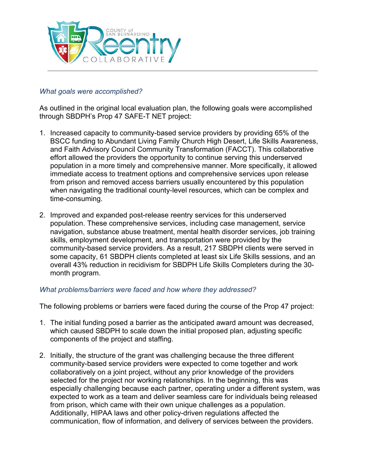

#### *What goals were accomplished?*

As outlined in the original local evaluation plan, the following goals were accomplished through SBDPH's Prop 47 SAFE-T NET project:

- 1. Increased capacity to community-based service providers by providing 65% of the BSCC funding to Abundant Living Family Church High Desert, Life Skills Awareness, and Faith Advisory Council Community Transformation (FACCT). This collaborative effort allowed the providers the opportunity to continue serving this underserved population in a more timely and comprehensive manner. More specifically, it allowed immediate access to treatment options and comprehensive services upon release from prison and removed access barriers usually encountered by this population when navigating the traditional county-level resources, which can be complex and time-consuming.
- 2. Improved and expanded post-release reentry services for this underserved population. These comprehensive services, including case management, service navigation, substance abuse treatment, mental health disorder services, job training skills, employment development, and transportation were provided by the community-based service providers. As a result, 217 SBDPH clients were served in some capacity, 61 SBDPH clients completed at least six Life Skills sessions, and an overall 43% reduction in recidivism for SBDPH Life Skills Completers during the 30 month program.

#### *What problems/barriers were faced and how where they addressed?*

The following problems or barriers were faced during the course of the Prop 47 project:

- 1. The initial funding posed a barrier as the anticipated award amount was decreased, which caused SBDPH to scale down the initial proposed plan, adjusting specific components of the project and staffing.
- 2. Initially, the structure of the grant was challenging because the three different community-based service providers were expected to come together and work collaboratively on a joint project, without any prior knowledge of the providers selected for the project nor working relationships. In the beginning, this was especially challenging because each partner, operating under a different system, was expected to work as a team and deliver seamless care for individuals being released from prison, which came with their own unique challenges as a population. Additionally, HIPAA laws and other policy-driven regulations affected the communication, flow of information, and delivery of services between the providers.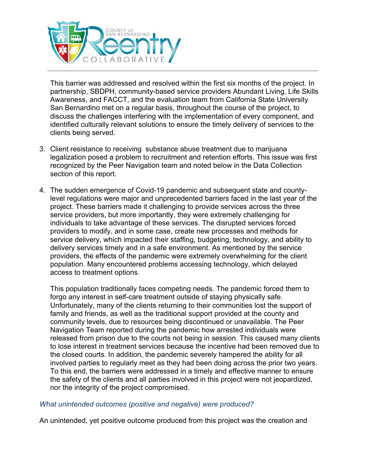

This barrier was addressed and resolved within the first six months of the project. In partnership, SBDPH, community-based service providers Abundant Living, Life Skills Awareness, and FACCT, and the evaluation team from California State University San Bernardino met on a regular basis, throughout the course of the project, to discuss the challenges interfering with the implementation of every component, and identified culturally relevant solutions to ensure the timely delivery of services to the clients being served.

- 3. Client resistance to receiving substance abuse treatment due to marijuana legalization posed a problem to recruitment and retention efforts. This issue was first recognized by the Peer Navigation team and noted below in the Data Collection section of this report.
- 4. The sudden emergence of Covid-19 pandemic and subsequent state and countylevel regulations were major and unprecedented barriers faced in the last year of the project. These barriers made it challenging to provide services across the three service providers, but more importantly, they were extremely challenging for individuals to take advantage of these services. The disrupted services forced providers to modify, and in some case, create new processes and methods for service delivery, which impacted their staffing, budgeting, technology, and ability to delivery services timely and in a safe environment. As mentioned by the service providers, the effects of the pandemic were extremely overwhelming for the client population. Many encountered problems accessing technology, which delayed access to treatment options.

This population traditionally faces competing needs. The pandemic forced them to forgo any interest in self-care treatment outside of staying physically safe. Unfortunately, many of the clients returning to their communities lost the support of family and friends, as well as the traditional support provided at the county and community levels, due to resources being discontinued or unavailable. The Peer Navigation Team reported during the pandemic how arrested individuals were released from prison due to the courts not being in session. This caused many clients to lose interest in treatment services because the incentive had been removed due to the closed courts. In addition, the pandemic severely hampered the ability for all involved parties to regularly meet as they had been doing across the prior two years. To this end, the barriers were addressed in a timely and effective manner to ensure the safety of the clients and all parties involved in this project were not jeopardized, nor the integrity of the project compromised.

#### *What unintended outcomes (positive and negative) were produced?*

An unintended, yet positive outcome produced from this project was the creation and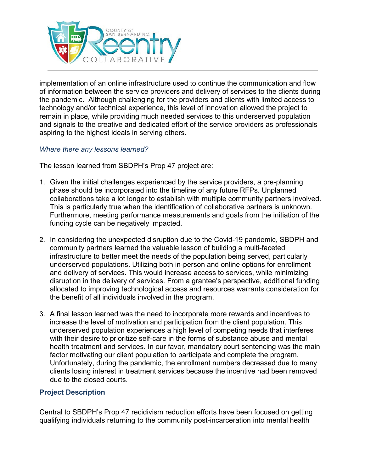

implementation of an online infrastructure used to continue the communication and flow of information between the service providers and delivery of services to the clients during the pandemic. Although challenging for the providers and clients with limited access to technology and/or technical experience, this level of innovation allowed the project to remain in place, while providing much needed services to this underserved population and signals to the creative and dedicated effort of the service providers as professionals aspiring to the highest ideals in serving others.

## *Where there any lessons learned?*

The lesson learned from SBDPH's Prop 47 project are:

- 1. Given the initial challenges experienced by the service providers, a pre-planning phase should be incorporated into the timeline of any future RFPs. Unplanned collaborations take a lot longer to establish with multiple community partners involved. This is particularly true when the identification of collaborative partners is unknown. Furthermore, meeting performance measurements and goals from the initiation of the funding cycle can be negatively impacted.
- 2. In considering the unexpected disruption due to the Covid-19 pandemic, SBDPH and community partners learned the valuable lesson of building a multi-faceted infrastructure to better meet the needs of the population being served, particularly underserved populations. Utilizing both in-person and online options for enrollment and delivery of services. This would increase access to services, while minimizing disruption in the delivery of services. From a grantee's perspective, additional funding allocated to improving technological access and resources warrants consideration for the benefit of all individuals involved in the program.
- 3. A final lesson learned was the need to incorporate more rewards and incentives to increase the level of motivation and participation from the client population. This underserved population experiences a high level of competing needs that interferes with their desire to prioritize self-care in the forms of substance abuse and mental health treatment and services. In our favor, mandatory court sentencing was the main factor motivating our client population to participate and complete the program. Unfortunately, during the pandemic, the enrollment numbers decreased due to many clients losing interest in treatment services because the incentive had been removed due to the closed courts.

## **Project Description**

Central to SBDPH's Prop 47 recidivism reduction efforts have been focused on getting qualifying individuals returning to the community post-incarceration into mental health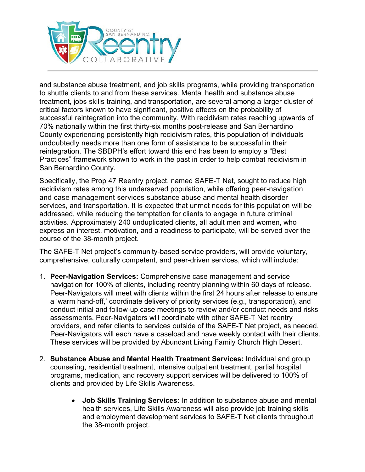

and substance abuse treatment, and job skills programs, while providing transportation to shuttle clients to and from these services. Mental health and substance abuse treatment, jobs skills training, and transportation, are several among a larger cluster of critical factors known to have significant, positive effects on the probability of successful reintegration into the community. With recidivism rates reaching upwards of 70% nationally within the first thirty-six months post-release and San Bernardino County experiencing persistently high recidivism rates, this population of individuals undoubtedly needs more than one form of assistance to be successful in their reintegration. The SBDPH's effort toward this end has been to employ a "Best Practices" framework shown to work in the past in order to help combat recidivism in San Bernardino County.

Specifically, the Prop 47 Reentry project, named SAFE-T Net, sought to reduce high recidivism rates among this underserved population, while offering peer-navigation and case management services substance abuse and mental health disorder services, and transportation. It is expected that unmet needs for this population will be addressed, while reducing the temptation for clients to engage in future criminal activities. Approximately 240 unduplicated clients, all adult men and women, who express an interest, motivation, and a readiness to participate, will be served over the course of the 38-month project.

The SAFE-T Net project's community-based service providers, will provide voluntary, comprehensive, culturally competent, and peer-driven services, which will include:

- 1. **Peer-Navigation Services:** Comprehensive case management and service navigation for 100% of clients, including reentry planning within 60 days of release. Peer-Navigators will meet with clients within the first 24 hours after release to ensure a 'warm hand-off,' coordinate delivery of priority services (e.g., transportation), and conduct initial and follow-up case meetings to review and/or conduct needs and risks assessments. Peer-Navigators will coordinate with other SAFE-T Net reentry providers, and refer clients to services outside of the SAFE-T Net project, as needed. Peer-Navigators will each have a caseload and have weekly contact with their clients. These services will be provided by Abundant Living Family Church High Desert.
- 2. **Substance Abuse and Mental Health Treatment Services:** Individual and group counseling, residential treatment, intensive outpatient treatment, partial hospital programs, medication, and recovery support services will be delivered to 100% of clients and provided by Life Skills Awareness.
	- **Job Skills Training Services:** In addition to substance abuse and mental health services, Life Skills Awareness will also provide job training skills and employment development services to SAFE-T Net clients throughout the 38-month project.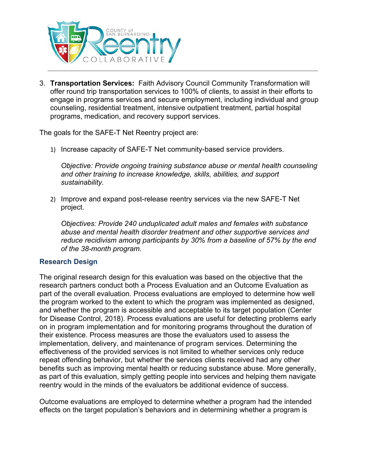

3. **Transportation Services:** Faith Advisory Council Community Transformation will offer round trip transportation services to 100% of clients, to assist in their efforts to engage in programs services and secure employment, including individual and group counseling, residential treatment, intensive outpatient treatment, partial hospital programs, medication, and recovery support services.

The goals for the SAFE-T Net Reentry project are:

1) Increase capacity of SAFE-T Net community-based service providers.

*Objective: Provide ongoing training substance abuse or mental health counseling and other training to increase knowledge, skills, abilities, and support sustainability.*

2) Improve and expand post-release reentry services via the new SAFE-T Net project.

*Objectives: Provide 240 unduplicated adult males and females with substance abuse and mental health disorder treatment and other supportive services and reduce recidivism among participants by 30% from a baseline of 57% by the end of the 38-month program.*

#### **Research Design**

The original research design for this evaluation was based on the objective that the research partners conduct both a Process Evaluation and an Outcome Evaluation as part of the overall evaluation. Process evaluations are employed to determine how well the program worked to the extent to which the program was implemented as designed, and whether the program is accessible and acceptable to its target population (Center for Disease Control, 2018). Process evaluations are useful for detecting problems early on in program implementation and for monitoring programs throughout the duration of their existence. Process measures are those the evaluators used to assess the implementation, delivery, and maintenance of program services. Determining the effectiveness of the provided services is not limited to whether services only reduce repeat offending behavior, but whether the services clients received had any other benefits such as improving mental health or reducing substance abuse. More generally, as part of this evaluation, simply getting people into services and helping them navigate reentry would in the minds of the evaluators be additional evidence of success.

Outcome evaluations are employed to determine whether a program had the intended effects on the target population's behaviors and in determining whether a program is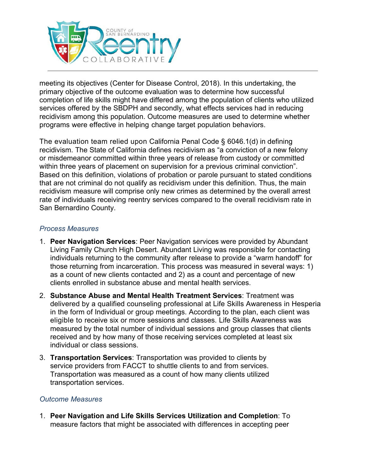

meeting its objectives (Center for Disease Control, 2018). In this undertaking, the primary objective of the outcome evaluation was to determine how successful completion of life skills might have differed among the population of clients who utilized services offered by the SBDPH and secondly, what effects services had in reducing recidivism among this population. Outcome measures are used to determine whether programs were effective in helping change target population behaviors.

The evaluation team relied upon California Penal Code § 6046.1(d) in defining recidivism. The State of California defines recidivism as "a conviction of a new felony or misdemeanor committed within three years of release from custody or committed within three years of placement on supervision for a previous criminal conviction". Based on this definition, violations of probation or parole pursuant to stated conditions that are not criminal do not qualify as recidivism under this definition. Thus, the main recidivism measure will comprise only new crimes as determined by the overall arrest rate of individuals receiving reentry services compared to the overall recidivism rate in San Bernardino County.

## *Process Measures*

- 1. **Peer Navigation Services**: Peer Navigation services were provided by Abundant Living Family Church High Desert. Abundant Living was responsible for contacting individuals returning to the community after release to provide a "warm handoff" for those returning from incarceration. This process was measured in several ways: 1) as a count of new clients contacted and 2) as a count and percentage of new clients enrolled in substance abuse and mental health services.
- 2. **Substance Abuse and Mental Health Treatment Services**: Treatment was delivered by a qualified counseling professional at Life Skills Awareness in Hesperia in the form of Individual or group meetings. According to the plan, each client was eligible to receive six or more sessions and classes. Life Skills Awareness was measured by the total number of individual sessions and group classes that clients received and by how many of those receiving services completed at least six individual or class sessions.
- 3. **Transportation Services**: Transportation was provided to clients by service providers from FACCT to shuttle clients to and from services. Transportation was measured as a count of how many clients utilized transportation services.

#### *Outcome Measures*

1. **Peer Navigation and Life Skills Services Utilization and Completion**: To measure factors that might be associated with differences in accepting peer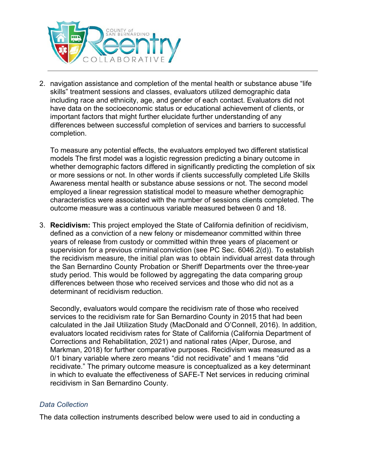

2. navigation assistance and completion of the mental health or substance abuse "life skills" treatment sessions and classes, evaluators utilized demographic data including race and ethnicity, age, and gender of each contact. Evaluators did not have data on the socioeconomic status or educational achievement of clients, or important factors that might further elucidate further understanding of any differences between successful completion of services and barriers to successful completion.

To measure any potential effects, the evaluators employed two different statistical models The first model was a logistic regression predicting a binary outcome in whether demographic factors differed in significantly predicting the completion of six or more sessions or not. In other words if clients successfully completed Life Skills Awareness mental health or substance abuse sessions or not. The second model employed a linear regression statistical model to measure whether demographic characteristics were associated with the number of sessions clients completed. The outcome measure was a continuous variable measured between 0 and 18.

3. **Recidivism:** This project employed the State of California definition of recidivism, defined as a conviction of a new felony or misdemeanor committed within three years of release from custody or committed within three years of placement or supervision for a previous criminal conviction (see PC Sec. 6046.2(d)). To establish the recidivism measure, the initial plan was to obtain individual arrest data through the San Bernardino County Probation or Sheriff Departments over the three-year study period. This would be followed by aggregating the data comparing group differences between those who received services and those who did not as a determinant of recidivism reduction.

Secondly, evaluators would compare the recidivism rate of those who received services to the recidivism rate for San Bernardino County in 2015 that had been calculated in the Jail Utilization Study (MacDonald and O'Connell, 2016). In addition, evaluators located recidivism rates for State of California (California Department of Corrections and Rehabilitation, 2021) and national rates (Alper, Durose, and Markman, 2018) for further comparative purposes. Recidivism was measured as a 0/1 binary variable where zero means "did not recidivate" and 1 means "did recidivate." The primary outcome measure is conceptualized as a key determinant in which to evaluate the effectiveness of SAFE-T Net services in reducing criminal recidivism in San Bernardino County.

#### *Data Collection*

The data collection instruments described below were used to aid in conducting a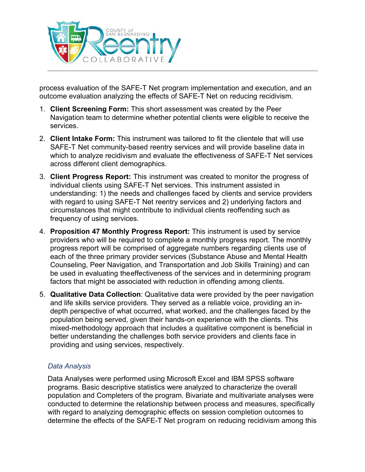

process evaluation of the SAFE-T Net program implementation and execution, and an outcome evaluation analyzing the effects of SAFE-T Net on reducing recidivism.

- 1. **Client Screening Form:** This short assessment was created by the Peer Navigation team to determine whether potential clients were eligible to receive the services.
- 2. **Client Intake Form:** This instrument was tailored to fit the clientele that will use SAFE-T Net community-based reentry services and will provide baseline data in which to analyze recidivism and evaluate the effectiveness of SAFE-T Net services across different client demographics.
- 3. **Client Progress Report:** This instrument was created to monitor the progress of individual clients using SAFE-T Net services. This instrument assisted in understanding: 1) the needs and challenges faced by clients and service providers with regard to using SAFE-T Net reentry services and 2) underlying factors and circumstances that might contribute to individual clients reoffending such as frequency of using services.
- 4. **Proposition 47 Monthly Progress Report:** This instrument is used by service providers who will be required to complete a monthly progress report. The monthly progress report will be comprised of aggregate numbers regarding clients use of each of the three primary provider services (Substance Abuse and Mental Health Counseling, Peer Navigation, and Transportation and Job Skills Training) and can be used in evaluating theeffectiveness of the services and in determining program factors that might be associated with reduction in offending among clients.
- 5. **Qualitative Data Collection**: Qualitative data were provided by the peer navigation and life skills service providers. They served as a reliable voice, providing an indepth perspective of what occurred, what worked, and the challenges faced by the population being served, given their hands-on experience with the clients. This mixed-methodology approach that includes a qualitative component is beneficial in better understanding the challenges both service providers and clients face in providing and using services, respectively.

#### *Data Analysis*

Data Analyses were performed using Microsoft Excel and IBM SPSS software programs. Basic descriptive statistics were analyzed to characterize the overall population and Completers of the program. Bivariate and multivariate analyses were conducted to determine the relationship between process and measures, specifically with regard to analyzing demographic effects on session completion outcomes to determine the effects of the SAFE-T Net program on reducing recidivism among this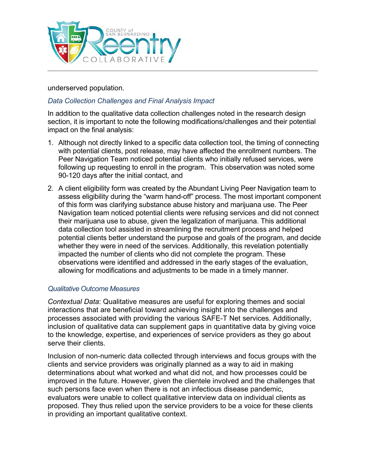

underserved population.

## *Data Collection Challenges and Final Analysis Impact*

In addition to the qualitative data collection challenges noted in the research design section, it is important to note the following modifications/challenges and their potential impact on the final analysis:

- 1. Although not directly linked to a specific data collection tool, the timing of connecting with potential clients, post release, may have affected the enrollment numbers. The Peer Navigation Team noticed potential clients who initially refused services, were following up requesting to enroll in the program. This observation was noted some 90-120 days after the initial contact, and
- 2. A client eligibility form was created by the Abundant Living Peer Navigation team to assess eligibility during the "warm hand-off" process. The most important component of this form was clarifying substance abuse history and marijuana use. The Peer Navigation team noticed potential clients were refusing services and did not connect their marijuana use to abuse, given the legalization of marijuana. This additional data collection tool assisted in streamlining the recruitment process and helped potential clients better understand the purpose and goals of the program, and decide whether they were in need of the services. Additionally, this revelation potentially impacted the number of clients who did not complete the program. These observations were identified and addressed in the early stages of the evaluation, allowing for modifications and adjustments to be made in a timely manner.

#### *Qualitative Outcome Measures*

*Contextual Data*: Qualitative measures are useful for exploring themes and social interactions that are beneficial toward achieving insight into the challenges and processes associated with providing the various SAFE-T Net services. Additionally, inclusion of qualitative data can supplement gaps in quantitative data by giving voice to the knowledge, expertise, and experiences of service providers as they go about serve their clients.

Inclusion of non-numeric data collected through interviews and focus groups with the clients and service providers was originally planned as a way to aid in making determinations about what worked and what did not, and how processes could be improved in the future. However, given the clientele involved and the challenges that such persons face even when there is not an infectious disease pandemic, evaluators were unable to collect qualitative interview data on individual clients as proposed. They thus relied upon the service providers to be a voice for these clients in providing an important qualitative context.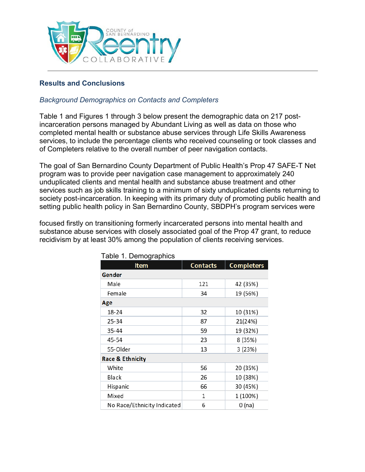

## **Results and Conclusions**

## *Background Demographics on Contacts and Completers*

Table 1 and Figures 1 through 3 below present the demographic data on 217 postincarceration persons managed by Abundant Living as well as data on those who completed mental health or substance abuse services through Life Skills Awareness services, to include the percentage clients who received counseling or took classes and of Completers relative to the overall number of peer navigation contacts.

The goal of San Bernardino County Department of Public Health's Prop 47 SAFE-T Net program was to provide peer navigation case management to approximately 240 unduplicated clients and mental health and substance abuse treatment and other services such as job skills training to a minimum of sixty unduplicated clients returning to society post-incarceration. In keeping with its primary duty of promoting public health and setting public health policy in San Bernardino County, SBDPH's program services were

focused firstly on transitioning formerly incarcerated persons into mental health and substance abuse services with closely associated goal of the Prop 47 grant, to reduce recidivism by at least 30% among the population of clients receiving services.

| 1.211                       |                 |                   |  |  |  |
|-----------------------------|-----------------|-------------------|--|--|--|
| <b>Item</b>                 | <b>Contacts</b> | <b>Completers</b> |  |  |  |
| Gender                      |                 |                   |  |  |  |
| Male                        | 121             | 42 (35%)          |  |  |  |
| Female                      | 34              | 19 (56%)          |  |  |  |
| Age                         |                 |                   |  |  |  |
| 18-24                       | 32              | 10 (31%)          |  |  |  |
| 25-34                       | 87              | 21(24%)           |  |  |  |
| 35-44                       | 59              | 19 (32%)          |  |  |  |
| 45-54                       | 23              | 8 (35%)           |  |  |  |
| 55-Older                    | 13              | 3(23%)            |  |  |  |
| <b>Race &amp; Ethnicity</b> |                 |                   |  |  |  |
| White                       | 56              | 20 (35%)          |  |  |  |
| Black                       | 26              | 10 (38%)          |  |  |  |
| Hispanic                    | 66              | 30 (45%)          |  |  |  |
| Mixed                       | $\mathbf{1}$    | 1 (100%)          |  |  |  |
| No Race/Ethnicity Indicated | 6               | 0(na)             |  |  |  |

Table 1. Demographics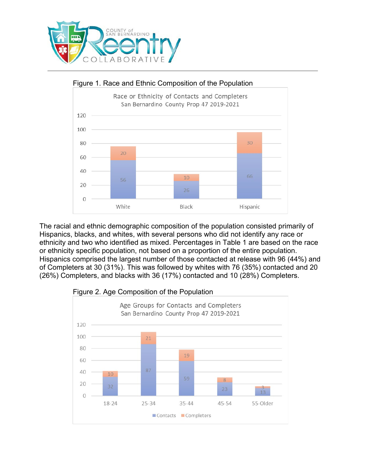



The racial and ethnic demographic composition of the population consisted primarily of Hispanics, blacks, and whites, with several persons who did not identify any race or ethnicity and two who identified as mixed. Percentages in Table 1 are based on the race or ethnicity specific population, not based on a proportion of the entire population. Hispanics comprised the largest number of those contacted at release with 96 (44%) and of Completers at 30 (31%). This was followed by whites with 76 (35%) contacted and 20 (26%) Completers, and blacks with 36 (17%) contacted and 10 (28%) Completers.



#### Figure 2. Age Composition of the Population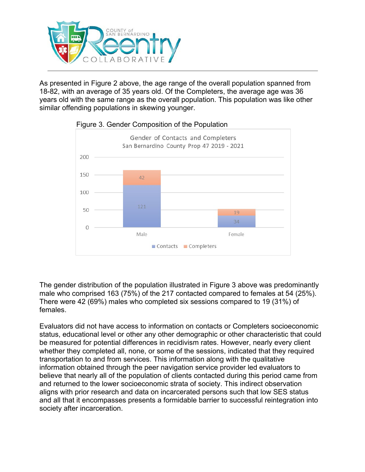

As presented in Figure 2 above, the age range of the overall population spanned from 18-82, with an average of 35 years old. Of the Completers, the average age was 36 years old with the same range as the overall population. This population was like other similar offending populations in skewing younger.



## Figure 3. Gender Composition of the Population

The gender distribution of the population illustrated in Figure 3 above was predominantly male who comprised 163 (75%) of the 217 contacted compared to females at 54 (25%). There were 42 (69%) males who completed six sessions compared to 19 (31%) of females.

Evaluators did not have access to information on contacts or Completers socioeconomic status, educational level or other any other demographic or other characteristic that could be measured for potential differences in recidivism rates. However, nearly every client whether they completed all, none, or some of the sessions, indicated that they required transportation to and from services. This information along with the qualitative information obtained through the peer navigation service provider led evaluators to believe that nearly all of the population of clients contacted during this period came from and returned to the lower socioeconomic strata of society. This indirect observation aligns with prior research and data on incarcerated persons such that low SES status and all that it encompasses presents a formidable barrier to successful reintegration into society after incarceration.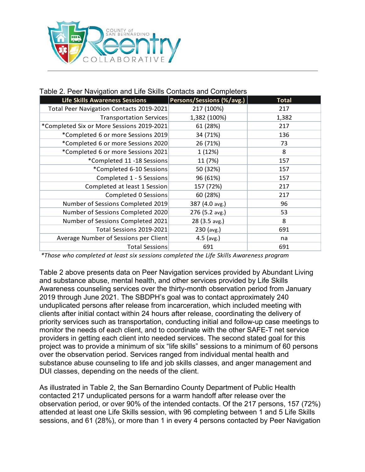

#### Table 2. Peer Navigation and Life Skills Contacts and Completers

| <b>Life Skills Awareness Sessions</b>     | Persons/Sessions (%/avg.) | <b>Total</b> |
|-------------------------------------------|---------------------------|--------------|
| Total Peer Navigation Contacts 2019-2021  | 217 (100%)                | 217          |
| <b>Transportation Services</b>            | 1,382 (100%)              | 1,382        |
| *Completed Six or More Sessions 2019-2021 | 61 (28%)                  | 217          |
| *Completed 6 or more Sessions 2019        | 34 (71%)                  | 136          |
| *Completed 6 or more Sessions 2020        | 26 (71%)                  | 73           |
| *Completed 6 or more Sessions 2021        | 1 (12%)                   | 8            |
| *Completed 11 -18 Sessions                | 11 (7%)                   | 157          |
| *Completed 6-10 Sessions                  | 50 (32%)                  | 157          |
| Completed 1 - 5 Sessions                  | 96 (61%)                  | 157          |
| Completed at least 1 Session              | 157 (72%)                 | 217          |
| Completed 0 Sessions                      | 60 (28%)                  | 217          |
| Number of Sessions Completed 2019         | 387 (4.0 avg.)            | 96           |
| Number of Sessions Completed 2020         | 276 (5.2 avg.)            | 53           |
| Number of Sessions Completed 2021         | 28 (3.5 avg.)             | 8            |
| Total Sessions 2019-2021                  | 230 (avg.)                | 691          |
| Average Number of Sessions per Client     | $4.5$ (avg.)              | na           |
| <b>Total Sessions</b>                     | 691                       | 691          |

*\*Those who completed at least six sessions completed the Life Skills Awareness program*

Table 2 above presents data on Peer Navigation services provided by Abundant Living and substance abuse, mental health, and other services provided by Life Skills Awareness counseling services over the thirty-month observation period from January 2019 through June 2021. The SBDPH's goal was to contact approximately 240 unduplicated persons after release from incarceration, which included meeting with clients after initial contact within 24 hours after release, coordinating the delivery of priority services such as transportation, conducting initial and follow-up case meetings to monitor the needs of each client, and to coordinate with the other SAFE-T net service providers in getting each client into needed services. The second stated goal for this project was to provide a minimum of six "life skills" sessions to a minimum of 60 persons over the observation period. Services ranged from individual mental health and substance abuse counseling to life and job skills classes, and anger management and DUI classes, depending on the needs of the client.

As illustrated in Table 2, the San Bernardino County Department of Public Health contacted 217 unduplicated persons for a warm handoff after release over the observation period, or over 90% of the intended contacts. Of the 217 persons, 157 (72%) attended at least one Life Skills session, with 96 completing between 1 and 5 Life Skills sessions, and 61 (28%), or more than 1 in every 4 persons contacted by Peer Navigation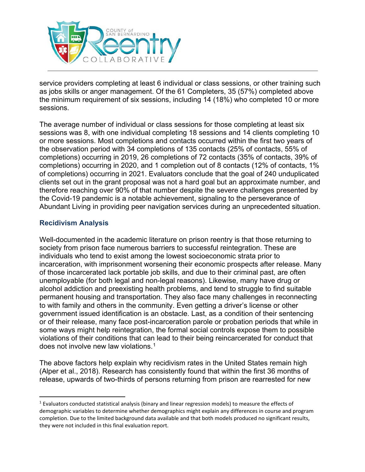

service providers completing at least 6 individual or class sessions, or other training such as jobs skills or anger management. Of the 61 Completers, 35 (57%) completed above the minimum requirement of six sessions, including 14 (18%) who completed 10 or more sessions.

The average number of individual or class sessions for those completing at least six sessions was 8, with one individual completing 18 sessions and 14 clients completing 10 or more sessions. Most completions and contacts occurred within the first two years of the observation period with 34 completions of 135 contacts (25% of contacts, 55% of completions) occurring in 2019, 26 completions of 72 contacts (35% of contacts, 39% of completions) occurring in 2020, and 1 completion out of 8 contacts (12% of contacts, 1% of completions) occurring in 2021. Evaluators conclude that the goal of 240 unduplicated clients set out in the grant proposal was not a hard goal but an approximate number, and therefore reaching over 90% of that number despite the severe challenges presented by the Covid-19 pandemic is a notable achievement, signaling to the perseverance of Abundant Living in providing peer navigation services during an unprecedented situation.

## **Recidivism Analysis**

Well-documented in the academic literature on prison reentry is that those returning to society from prison face numerous barriers to successful reintegration. These are individuals who tend to exist among the lowest socioeconomic strata prior to incarceration, with imprisonment worsening their economic prospects after release. Many of those incarcerated lack portable job skills, and due to their criminal past, are often unemployable (for both legal and non-legal reasons). Likewise, many have drug or alcohol addiction and preexisting health problems, and tend to struggle to find suitable permanent housing and transportation. They also face many challenges in reconnecting to with family and others in the community. Even getting a driver's license or other government issued identification is an obstacle. Last, as a condition of their sentencing or of their release, many face post-incarceration parole or probation periods that while in some ways might help reintegration, the formal social controls expose them to possible violations of their conditions that can lead to their being reincarcerated for conduct that does not involve new law violations.[1](#page-16-0)

The above factors help explain why recidivism rates in the United States remain high (Alper et al., 2018). Research has consistently found that within the first 36 months of release, upwards of two-thirds of persons returning from prison are rearrested for new

<span id="page-16-0"></span><sup>1</sup> Evaluators conducted statistical analysis (binary and linear regression models) to measure the effects of demographic variables to determine whether demographics might explain any differences in course and program completion. Due to the limited background data available and that both models produced no significant results, they were not included in this final evaluation report.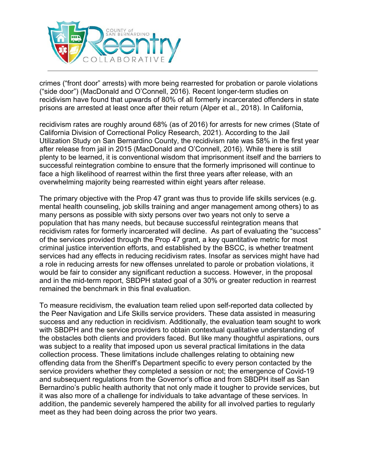

crimes ("front door" arrests) with more being rearrested for probation or parole violations ("side door") (MacDonald and O'Connell, 2016). Recent longer-term studies on recidivism have found that upwards of 80% of all formerly incarcerated offenders in state prisons are arrested at least once after their return (Alper et al., 2018). In California,

recidivism rates are roughly around 68% (as of 2016) for arrests for new crimes (State of California Division of Correctional Policy Research, 2021). According to the Jail Utilization Study on San Bernardino County, the recidivism rate was 58% in the first year after release from jail in 2015 (MacDonald and O'Connell, 2016). While there is still plenty to be learned, it is conventional wisdom that imprisonment itself and the barriers to successful reintegration combine to ensure that the formerly imprisoned will continue to face a high likelihood of rearrest within the first three years after release, with an overwhelming majority being rearrested within eight years after release.

The primary objective with the Prop 47 grant was thus to provide life skills services (e.g. mental health counseling, job skills training and anger management among others) to as many persons as possible with sixty persons over two years not only to serve a population that has many needs, but because successful reintegration means that recidivism rates for formerly incarcerated will decline. As part of evaluating the "success" of the services provided through the Prop 47 grant, a key quantitative metric for most criminal justice intervention efforts, and established by the BSCC, is whether treatment services had any effects in reducing recidivism rates. Insofar as services might have had a role in reducing arrests for new offenses unrelated to parole or probation violations, it would be fair to consider any significant reduction a success. However, in the proposal and in the mid-term report, SBDPH stated goal of a 30% or greater reduction in rearrest remained the benchmark in this final evaluation.

To measure recidivism, the evaluation team relied upon self-reported data collected by the Peer Navigation and Life Skills service providers. These data assisted in measuring success and any reduction in recidivism. Additionally, the evaluation team sought to work with SBDPH and the service providers to obtain contextual qualitative understanding of the obstacles both clients and providers faced. But like many thoughtful aspirations, ours was subject to a reality that imposed upon us several practical limitations in the data collection process. These limitations include challenges relating to obtaining new offending data from the Sheriff's Department specific to every person contacted by the service providers whether they completed a session or not; the emergence of Covid-19 and subsequent regulations from the Governor's office and from SBDPH itself as San Bernardino's public health authority that not only made it tougher to provide services, but it was also more of a challenge for individuals to take advantage of these services. In addition, the pandemic severely hampered the ability for all involved parties to regularly meet as they had been doing across the prior two years.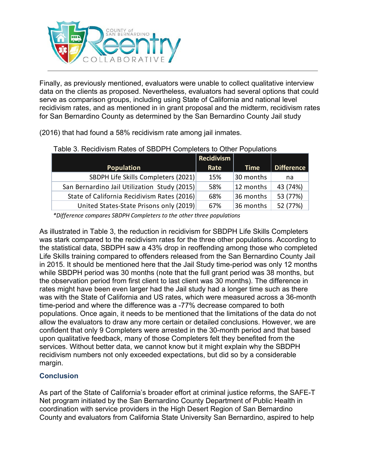

Finally, as previously mentioned, evaluators were unable to collect qualitative interview data on the clients as proposed. Nevertheless, evaluators had several options that could serve as comparison groups, including using State of California and national level recidivism rates, and as mentioned in in grant proposal and the midterm, recidivism rates for San Bernardino County as determined by the San Bernardino County Jail study

(2016) that had found a 58% recidivism rate among jail inmates.

|                                              | <b>Recidivism</b> |             |                   |
|----------------------------------------------|-------------------|-------------|-------------------|
| <b>Population</b>                            | Rate              | <b>Time</b> | <b>Difference</b> |
| SBDPH Life Skills Completers (2021)          | 15%               | 30 months   | na                |
| San Bernardino Jail Utilization Study (2015) | 58%               | 12 months   | 43 (74%)          |
| State of California Recidivism Rates (2016)  | 68%               | 36 months   | 53 (77%)          |
| United States-State Prisons only (2019)      | 67%               | 36 months   | 52 (77%)          |

#### Table 3. Recidivism Rates of SBDPH Completers to Other Populations

*\*Difference compares SBDPH Completers to the other three populations*

As illustrated in Table 3, the reduction in recidivism for SBDPH Life Skills Completers was stark compared to the recidivism rates for the three other populations. According to the statistical data, SBDPH saw a 43% drop in reoffending among those who completed Life Skills training compared to offenders released from the San Bernardino County Jail in 2015. It should be mentioned here that the Jail Study time-period was only 12 months while SBDPH period was 30 months (note that the full grant period was 38 months, but the observation period from first client to last client was 30 months). The difference in rates might have been even larger had the Jail study had a longer time such as there was with the State of California and US rates, which were measured across a 36-month time-period and where the difference was a -77% decrease compared to both populations. Once again, it needs to be mentioned that the limitations of the data do not allow the evaluators to draw any more certain or detailed conclusions. However, we are confident that only 9 Completers were arrested in the 30-month period and that based upon qualitative feedback, many of those Completers felt they benefited from the services. Without better data, we cannot know but it might explain why the SBDPH recidivism numbers not only exceeded expectations, but did so by a considerable margin.

## **Conclusion**

As part of the State of California's broader effort at criminal justice reforms, the SAFE-T Net program initiated by the San Bernardino County Department of Public Health in coordination with service providers in the High Desert Region of San Bernardino County and evaluators from California State University San Bernardino, aspired to help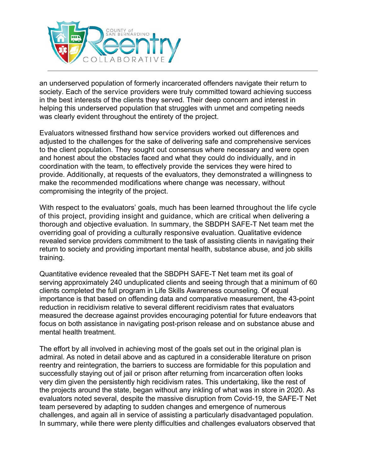

an underserved population of formerly incarcerated offenders navigate their return to society. Each of the service providers were truly committed toward achieving success in the best interests of the clients they served. Their deep concern and interest in helping this underserved population that struggles with unmet and competing needs was clearly evident throughout the entirety of the project.

Evaluators witnessed firsthand how service providers worked out differences and adjusted to the challenges for the sake of delivering safe and comprehensive services to the client population. They sought out consensus where necessary and were open and honest about the obstacles faced and what they could do individually, and in coordination with the team, to effectively provide the services they were hired to provide. Additionally, at requests of the evaluators, they demonstrated a willingness to make the recommended modifications where change was necessary, without compromising the integrity of the project.

With respect to the evaluators' goals, much has been learned throughout the life cycle of this project, providing insight and guidance, which are critical when delivering a thorough and objective evaluation. In summary, the SBDPH SAFE-T Net team met the overriding goal of providing a culturally responsive evaluation. Qualitative evidence revealed service providers commitment to the task of assisting clients in navigating their return to society and providing important mental health, substance abuse, and job skills training.

Quantitative evidence revealed that the SBDPH SAFE-T Net team met its goal of serving approximately 240 unduplicated clients and seeing through that a minimum of 60 clients completed the full program in Life Skills Awareness counseling. Of equal importance is that based on offending data and comparative measurement, the 43-point reduction in recidivism relative to several different recidivism rates that evaluators measured the decrease against provides encouraging potential for future endeavors that focus on both assistance in navigating post-prison release and on substance abuse and mental health treatment.

The effort by all involved in achieving most of the goals set out in the original plan is admiral. As noted in detail above and as captured in a considerable literature on prison reentry and reintegration, the barriers to success are formidable for this population and successfully staying out of jail or prison after returning from incarceration often looks very dim given the persistently high recidivism rates. This undertaking, like the rest of the projects around the state, began without any inkling of what was in store in 2020. As evaluators noted several, despite the massive disruption from Covid-19, the SAFE-T Net team persevered by adapting to sudden changes and emergence of numerous challenges, and again all in service of assisting a particularly disadvantaged population. In summary, while there were plenty difficulties and challenges evaluators observed that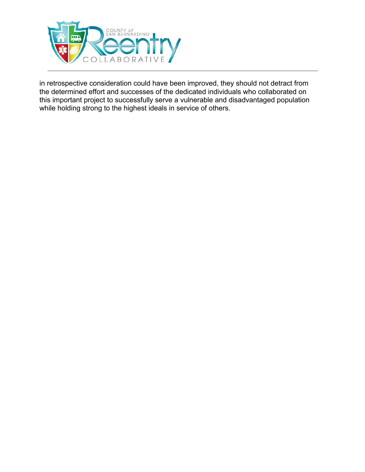

in retrospective consideration could have been improved, they should not detract from the determined effort and successes of the dedicated individuals who collaborated on this important project to successfully serve a vulnerable and disadvantaged population while holding strong to the highest ideals in service of others.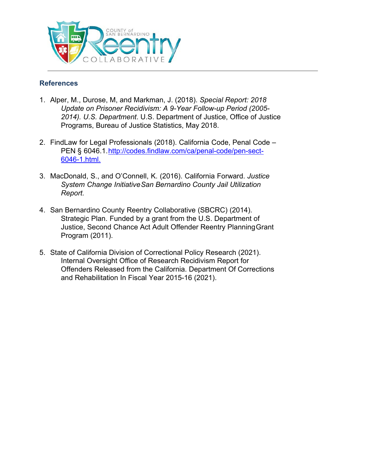

## **References**

- 1. Alper, M., Durose, M, and Markman, J. (2018). *Special Report: 2018 Update on Prisoner Recidivism: A 9-Year Follow-up Period (2005- 2014). U.S. Department*. U.S. Department of Justice, Office of Justice Programs, Bureau of Justice Statistics, May 2018.
- 2. FindLaw for Legal Professionals (2018). California Code, Penal Code PEN § 6046.1[.http://codes.findlaw.com/ca/penal-code/pen-sect-](http://codes.findlaw.com/ca/penal-code/pen-sect-6046-1.html.)[6046-1.html.](http://codes.findlaw.com/ca/penal-code/pen-sect-6046-1.html.)
- 3. MacDonald, S., and O'Connell, K. (2016). California Forward. *Justice System Change InitiativeSan Bernardino County Jail Utilization Report.*
- 4. San Bernardino County Reentry Collaborative (SBCRC) (2014). Strategic Plan. Funded by a grant from the U.S. Department of Justice, Second Chance Act Adult Offender Reentry PlanningGrant Program (2011).
- 5. State of California Division of Correctional Policy Research (2021). Internal Oversight Office of Research Recidivism Report for Offenders Released from the California. Department Of Corrections and Rehabilitation In Fiscal Year 2015-16 (2021).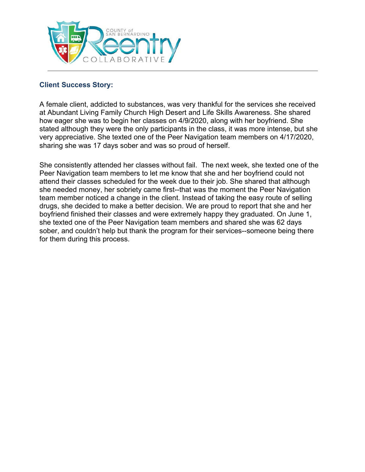

## **Client Success Story:**

A female client, addicted to substances, was very thankful for the services she received at Abundant Living Family Church High Desert and Life Skills Awareness. She shared how eager she was to begin her classes on 4/9/2020, along with her boyfriend. She stated although they were the only participants in the class, it was more intense, but she very appreciative. She texted one of the Peer Navigation team members on 4/17/2020, sharing she was 17 days sober and was so proud of herself.

She consistently attended her classes without fail. The next week, she texted one of the Peer Navigation team members to let me know that she and her boyfriend could not attend their classes scheduled for the week due to their job. She shared that although she needed money, her sobriety came first--that was the moment the Peer Navigation team member noticed a change in the client. Instead of taking the easy route of selling drugs, she decided to make a better decision. We are proud to report that she and her boyfriend finished their classes and were extremely happy they graduated. On June 1, she texted one of the Peer Navigation team members and shared she was 62 days sober, and couldn't help but thank the program for their services--someone being there for them during this process.